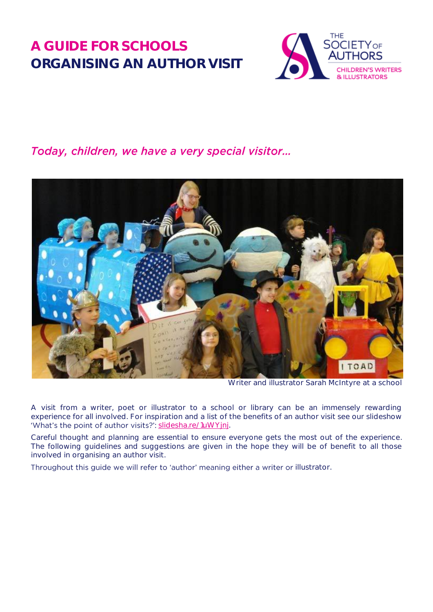# **A GUIDE FOR SCHOOLS ORGANISING AN AUTHOR VISIT**



# Today, children, we have a very special visitor...



Writer and illustrator Sarah McIntyre at a school

A visit from a writer, poet or illustrator to a school or library can be an immensely rewarding experience for all involved. For inspiration and a list of the benefits of an author visit see our slideshow 'What's the point of author visits?': slidesha.re/1uWYjnj.

Careful thought and planning are essential to ensure everyone gets the most out of the experience. The following guidelines and suggestions are given in the hope they will be of benefit to all those involved in organising an author visit.

Throughout this guide we will refer to 'author' meaning either a writer or illustrator.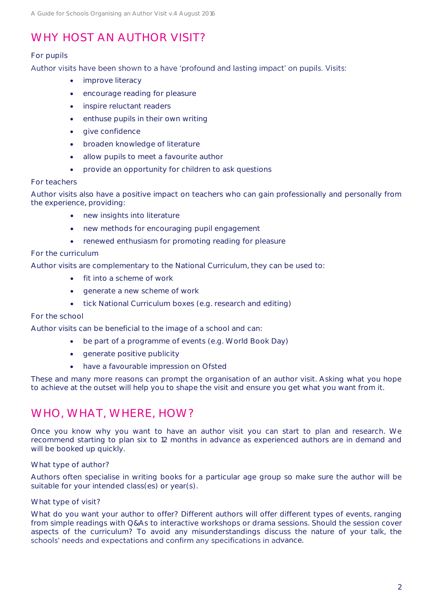# WHY HOST AN AUTHOR VISIT?

## For pupils

Author visits have been shown to a have 'profound and lasting impact' on pupils. Visits:

- improve literacy
- encourage reading for pleasure
- inspire reluctant readers
- enthuse pupils in their own writing
- give confidence
- **•** broaden knowledge of literature
- allow pupils to meet a favourite author
- provide an opportunity for children to ask questions

## For teachers

Author visits also have a positive impact on teachers who can gain professionally and personally from the experience, providing:

- new insights into literature
- new methods for encouraging pupil engagement
- renewed enthusiasm for promoting reading for pleasure

## For the curriculum

Author visits are complementary to the National Curriculum, they can be used to:

- fit into a scheme of work
- generate a new scheme of work
- tick National Curriculum boxes (e.g. research and editing)

#### For the school

Author visits can be beneficial to the image of a school and can:

- be part of a programme of events (e.g. World Book Day)
- generate positive publicity
- have a favourable impression on Ofsted

These and many more reasons can prompt the organisation of an author visit. Asking what you hope to achieve at the outset will help you to shape the visit and ensure you get what you want from it.

# WHO, WHAT, WHERE, HOW?

Once you know why you want to have an author visit you can start to plan and research. We recommend starting to plan six to 12 months in advance as experienced authors are in demand and will be booked up quickly.

#### What type of author?

Authors often specialise in writing books for a particular age group so make sure the author will be suitable for your intended class(es) or year(s).

#### What type of visit?

What do you want your author to offer? Different authors will offer different types of events, ranging from simple readings with Q&As to interactive workshops or drama sessions. Should the session cover aspects of the curriculum? To avoid any misunderstandings discuss the nature of your talk, the schools' needs and expectations and confirm any specifications in advance.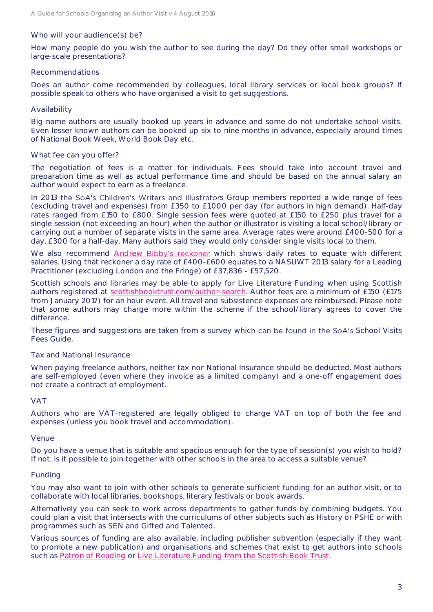#### Who will your audience(s) be?

How many people do you wish the author to see during the day? Do they offer small workshops or large-scale presentations?

#### Recommendations

Does an author come recommended by colleagues, local library services or local book groups? If possible speak to others who have organised a visit to get suggestions.

#### Availability

Big name authors are usually booked up years in advance and some do not undertake school visits. Even lesser known authors can be booked up six to nine months in advance, especially around times of National Book Week, World Book Day etc.

#### What fee can you offer?

The negotiation of fees is a matter for individuals. Fees should take into account travel and preparation time as well as actual performance time and should be based on the annual salary an author would expect to earn as a freelance.

In 2013 the SoA's Children's Writers and Illustrators Group members reported a wide range of fees (excluding travel and expenses) from £350 to £1,000 per day (for authors in high demand). Half-day rates ranged from £150 to £800. Single session fees were quoted at £150 to £250 plus travel for a single session (not exceeding an hour) when the author or illustrator is visiting a local school/library or carrying out a number of separate visits in the same area. Average rates were around £400-500 for a day, £300 for a half-day. Many authors said they would only consider single visits local to them.

We also recommend [Andrew](http://www.andrewbibby.com/reckoner.html) Bibby's reckoner which shows daily rates to equate with different salaries. Using that reckoner a day rate of £400-£600 equates to a NASUWT 2013 salary for a Leading Practitioner (excluding London and the Fringe) of £37,836 - £57,520.

Scottish schools and libraries may be able to apply for Live Literature Funding when using Scottish authors registered at [scottishbooktrust.com/author-search.](http://www.scottishbooktrust.com/author-search) Author fees are a minimum of £150 (£175 from January 2017) for an hour event. All travel and subsistence expenses are reimbursed. Please note that some authors may charge more within the scheme if the school/library agrees to cover the difference.

These figures and suggestions are taken from a survey which can be found in the SoA's *School Visits Fees Guide*.

#### Tax and National Insurance

When paying freelance authors, neither tax nor National Insurance should be deducted. Most authors are self-employed (even where they invoice as a limited company) and a one-off engagement does not create a contract of employment.

### VAT

Authors who are VAT-registered are legally obliged to charge VAT on top of both the fee and expenses (unless you book travel and accommodation).

#### Venue

Do you have a venue that is suitable and spacious enough for the type of session(s) you wish to hold? If not, is it possible to join together with other schools in the area to access a suitable venue?

#### Funding

You may also want to join with other schools to generate sufficient funding for an author visit, or to collaborate with local libraries, bookshops, literary festivals or book awards.

Alternatively you can seek to work across departments to gather funds by combining budgets. You could plan a visit that intersects with the curriculums of other subjects such as History or PSHE or with programmes such as SEN and Gifted and Talented.

Various sources of funding are also available, including publisher subvention (especially if they want to promote a new publication) and organisations and schemes that exist to get authors into schools such as [Patron of Reading](http://www.patronofreading.co.uk/) or [Live Literature Funding from the Scottish Book Trust.](http://www.scottishbooktrust.com/live-literature)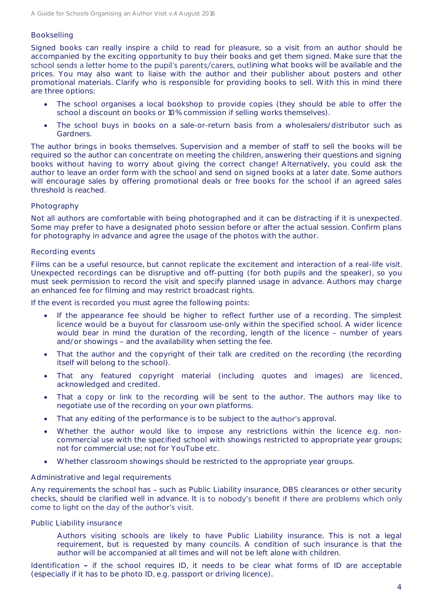### Bookselling

Signed books can really inspire a child to read for pleasure, so a visit from an author should be accompanied by the exciting opportunity to buy their books and get them signed. Make sure that the school sends a letter home to the pupil's parents/carers, outlining what books will be available and the prices. You may also want to liaise with the author and their publisher about posters and other promotional materials. Clarify who is responsible for providing books to sell. With this in mind there are three options:

- The school organises a local bookshop to provide copies (they should be able to offer the school a discount on books or 10% commission if selling works themselves).
- The school buys in books on a sale-or-return basis from a wholesalers/distributor such as Gardners.

The author brings in books themselves. Supervision and a member of staff to sell the books will be required so the author can concentrate on meeting the children, answering their questions and signing books without having to worry about giving the correct change! Alternatively, you could ask the author to leave an order form with the school and send on signed books at a later date. Some authors will encourage sales by offering promotional deals or free books for the school if an agreed sales threshold is reached.

#### Photography

Not all authors are comfortable with being photographed and it can be distracting if it is unexpected. Some may prefer to have a designated photo session before or after the actual session. Confirm plans for photography in advance and agree the usage of the photos with the author.

#### Recording events

Films can be a useful resource, but cannot replicate the excitement and interaction of a real-life visit. Unexpected recordings can be disruptive and off-putting (for both pupils and the speaker), so you must seek permission to record the visit and specify planned usage in advance. Authors may charge an enhanced fee for filming and may restrict broadcast rights.

If the event is recorded you must agree the following points:

- If the appearance fee should be higher to reflect further use of a recording. The simplest licence would be a buyout for classroom use-only within the specified school. A wider licence would bear in mind the duration of the recording, length of the licence - number of years and/or showings - and the availability when setting the fee.
- That the author and the copyright of their talk are credited on the recording (the recording itself will belong to the school).
- That any featured copyright material (including quotes and images) are licenced, acknowledged and credited.
- That a copy or link to the recording will be sent to the author. The authors may like to negotiate use of the recording on your own platforms.
- That any editing of the performance is to be subject to the author's approval.
- Whether the author would like to impose any restrictions within the licence e.g. noncommercial use with the specified school with showings restricted to appropriate year groups; not for commercial use; not for YouTube etc.
- Whether classroom showings should be restricted to the appropriate year groups.

#### Administrative and legal requirements

Any requirements the school has - such as Public Liability insurance, DBS clearances or other security checks, should be clarified well in advance. It is to nobody's benefit if there are problems which only come to light on the day of the author's visit.

Public Liability insurance

Authors visiting schools are likely to have Public Liability insurance. This is not a legal requirement, but is requested by many councils. A condition of such insurance is that the author will be accompanied at all times and will not be left alone with children.

Identification  $-$  if the school requires ID, it needs to be clear what forms of ID are acceptable (especially if it has to be photo ID, e.g. passport or driving licence).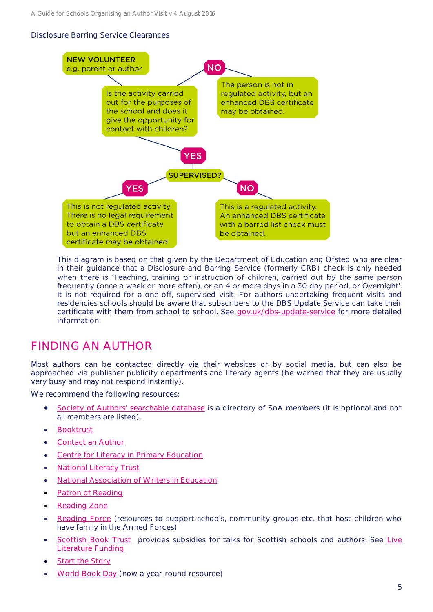## Disclosure Barring Service Clearances



This diagram is based on that given by the Department of Education and Ofsted who are clear in their guidance that a Disclosure and Barring Service (formerly CRB) check is only needed when there is 'Teaching, training or instruction of children, carried out by the same person frequently (once a week or more often), or on 4 or more days in a 30 day period, or Overnight'. It is not required for a one-off, supervised visit. For authors undertaking frequent visits and residencies schools should be aware that subscribers to the DBS Update Service can take their certificate with them from school to school. See [gov.uk/dbs-update-service](http://www.gov.uk/dbs-update-service) for more detailed information.

## FINDING AN AUTHOR

Most authors can be contacted directly via their websites or by social media, but can also be approached via publisher publicity departments and literary agents (be warned that they are usually very busy and may not respond instantly).

We recommend the following resources:

- [Society of Authors' searchable database](http://www.societyofauthors.org/quick-search) is a directory of SoA members (it is optional and not all members are listed).
- [Booktrust](http://www.booktrust.co.uk/)
- [Contact an Author](http://www.contactanauthor.co.uk/)
- [Centre for Literacy in Primary Education](http://www.clpe.org.uk/)
- [National Literacy Trust](http://www.literacytrust.org.uk/)
- [National Association of Writers in Education](http://www.nawe.co.uk/)
- [Patron of Reading](http://www.patronofreading.co.uk/)
- [Reading Zone](http://www.readingzone.com/)
- [Reading Force](http://www.readingforce.org.uk/) (resources to support schools, community groups etc. that host children who have family in the Armed Forces)
- [Scottish Book Trust](http://www.scottishbooktrust.com/) provides subsidies for talks for Scottish schools and authors. See [Live](http://www.scottishbooktrust.com/live-literature-funding)  [Literature Funding](http://www.scottishbooktrust.com/live-literature-funding)
- **[Start the Story](http://www.authors.startthestory.co.uk/)**
- [World Book Day](http://www.worldbookday.com/) (now a year-round resource)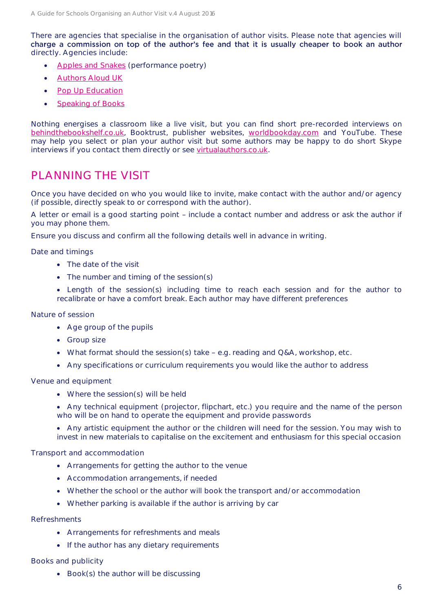There are agencies that specialise in the organisation of author visits. Please note that agencies will charge a commission on top of the author's fee and that it is usually cheaper to book an author directly. Agencies include:

- [Apples and Snakes](http://www.applesandsnakes.org/) (performance poetry)
- [Authors Aloud UK](http://www.authorsalouduk.co.uk/)
- [Pop Up Education](http://www.pop-up.org.uk/education)
- [Speaking of Books](http://www.speakingofbooks.co.uk/)

Nothing energises a classroom like a live visit, but you can find short pre-recorded interviews on [behindthebookshelf.co.uk,](http://behindthebookshelf.co.uk/) Booktrust, publisher websites, [worldbookday.com](http://www.worldbookday.com/) and YouTube. These may help you select or plan your author visit but some authors may be happy to do short Skype interviews if you contact them directly or see [virtualauthors.co.uk.](http://www.virtualauthors.co.uk/)

# PLANNING THE VISIT

Once you have decided on who you would like to invite, make contact with the author and/or agency (if possible, directly speak to or correspond with the author).

A letter or email is a good starting point - include a contact number and address or ask the author if you may phone them.

Ensure you discuss and confirm all the following details well in advance in writing.

Date and timings

- The date of the visit
- The number and timing of the session(s)
- Length of the session(s) including time to reach each session and for the author to recalibrate or have a comfort break. Each author may have different preferences

#### Nature of session

- Age group of the pupils
- Group size
- What format should the session(s) take  $-$  e.g. reading and  $Q&A$ , workshop, etc.
- Any specifications or curriculum requirements you would like the author to address

#### Venue and equipment

• Where the session(s) will be held

 Any technical equipment (projector, flipchart, etc.) you require and the name of the person who will be on hand to operate the equipment and provide passwords

 Any artistic equipment the author or the children will need for the session. You may wish to invest in new materials to capitalise on the excitement and enthusiasm for this special occasion

#### Transport and accommodation

- Arrangements for getting the author to the venue
- Accommodation arrangements, if needed
- Whether the school or the author will book the transport and/or accommodation
- Whether parking is available if the author is arriving by car

#### Refreshments

- Arrangements for refreshments and meals
- If the author has any dietary requirements

#### Books and publicity

• Book(s) the author will be discussing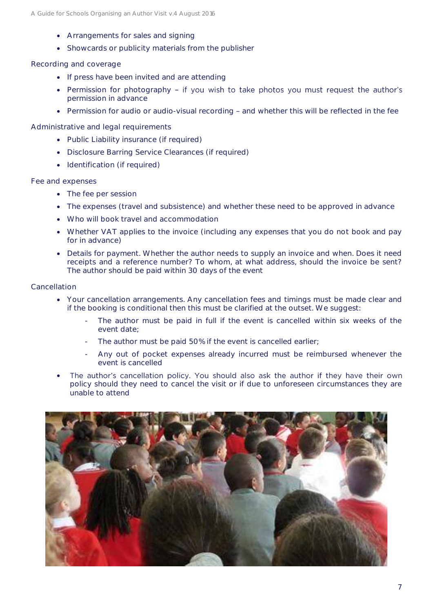- Arrangements for sales and signing
- Showcards or publicity materials from the publisher

### Recording and coverage

- **If press have been invited and are attending**
- Permission for photography if you wish to take photos you must request the author's permission in advance
- Permission for audio or audio-visual recording and whether this will be reflected in the fee

Administrative and legal requirements

- Public Liability insurance (if required)
- Disclosure Barring Service Clearances (if required)
- Identification (if required)

## Fee and expenses

- The fee per session
- The expenses (travel and subsistence) and whether these need to be approved in advance
- Who will book travel and accommodation
- Whether VAT applies to the invoice (including any expenses that you do not book and pay for in advance)
- Details for payment. Whether the author needs to supply an invoice and when. Does it need receipts and a reference number? To whom, at what address, should the invoice be sent? The author should be paid within 30 days of the event

## Cancellation

- Your cancellation arrangements. Any cancellation fees and timings must be made clear and if the booking is conditional then this must be clarified at the outset. We suggest:
	- The author must be paid in full if the event is cancelled within six weeks of the event date;
	- The author must be paid 50% if the event is cancelled earlier;
	- Any out of pocket expenses already incurred must be reimbursed whenever the event is cancelled
- The author's cancellation policy. You should also ask the author if they have their own  $\bullet$ policy should they need to cancel the visit or if due to unforeseen circumstances they are unable to attend

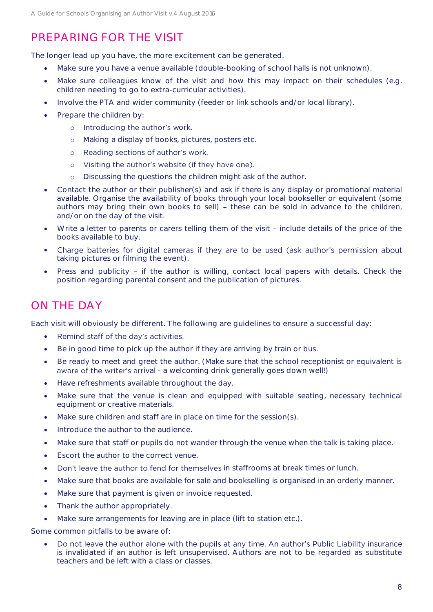# PREPARING FOR THE VISIT

The longer lead up you have, the more excitement can be generated.

- Make sure you have a venue available (double-booking of school halls is not unknown).
- Make sure colleagues know of the visit and how this may impact on their schedules (e.g. children needing to go to extra-curricular activities).
- Involve the PTA and wider community (feeder or link schools and/or local library).
- Prepare the children by:
	- o Introducing the author's work.
	- o Making a display of books, pictures, posters etc.
	- o Reading sections of author's work.
	- o Visiting the author's website (if they have one).
	- o Discussing the questions the children might ask of the author.
- Contact the author or their publisher(s) and ask if there is any display or promotional material available. Organise the availability of books through your local bookseller or equivalent (some authors may bring their own books to sell) - these can be sold in advance to the children, and/or on the day of the visit.
- Write a letter to parents or carers telling them of the visit include details of the price of the books available to buy.
- Charge batteries for digital cameras if they are to be used (ask author's permission about  $\bullet$ taking pictures or filming the event).
- Press and publicity if the author is willing, contact local papers with details. Check the position regarding parental consent and the publication of pictures.

# ON THE DAY

Each visit will obviously be different. The following are guidelines to ensure a successful day:

- Remind staff of the day's activities.  $\bullet$
- Be in good time to pick up the author if they are arriving by train or bus.
- Be ready to meet and greet the author. (Make sure that the school receptionist or equivalent is aware of the writer's arrival - a welcoming drink generally goes down well!)
- Have refreshments available throughout the day.
- Make sure that the venue is clean and equipped with suitable seating, necessary technical equipment or creative materials.
- Make sure children and staff are in place on time for the session(s).
- Introduce the author to the audience.
- Make sure that staff or pupils do not wander through the venue when the talk is taking place.
- Escort the author to the correct venue.
- Don't leave the author to fend for themselves in staffrooms at break times or lunch.
- Make sure that books are available for sale and bookselling is organised in an orderly manner.
- Make sure that payment is given or invoice requested.
- Thank the author appropriately.
- Make sure arrangements for leaving are in place (lift to station etc.).

Some common pitfalls to be aware of:

Do not leave the author alone with the pupils at any time. An author's Public Liability insurance  $\bullet$ is invalidated if an author is left unsupervised. Authors are not to be regarded as substitute teachers and be left with a class or classes.